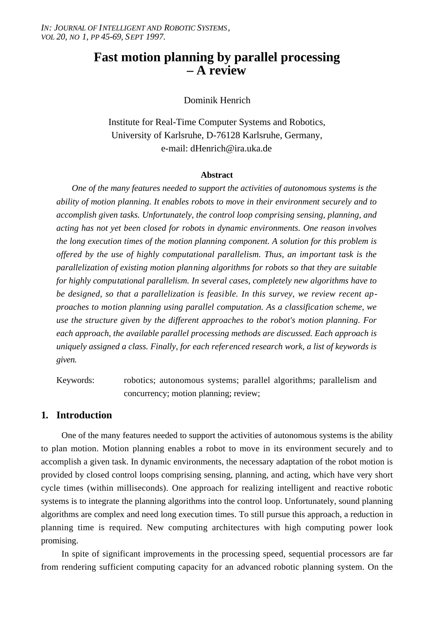# **Fast motion planning by parallel processing – A review**

## Dominik Henrich

Institute for Real-Time Computer Systems and Robotics, University of Karlsruhe, D-76128 Karlsruhe, Germany, e-mail: dHenrich@ira.uka.de

#### **Abstract**

*One of the many features needed to support the activities of autonomous systems is the ability of motion planning. It enables robots to move in their environment securely and to accomplish given tasks. Unfortunately, the control loop comprising sensing, planning, and acting has not yet been closed for robots in dynamic environments. One reason involves the long execution times of the motion planning component. A solution for this problem is offered by the use of highly computational parallelism. Thus, an important task is the parallelization of existing motion planning algorithms for robots so that they are suitable for highly computational parallelism. In several cases, completely new algorithms have to be designed, so that a parallelization is feasible. In this survey, we review recent approaches to motion planning using parallel computation. As a classification scheme, we use the structure given by the different approaches to the robot's motion planning. For each approach, the available parallel processing methods are discussed. Each approach is uniquely assigned a class. Finally, for each referenced research work, a list of keywords is given.*

Keywords: robotics; autonomous systems; parallel algorithms; parallelism and concurrency; motion planning; review;

## **1. Introduction**

One of the many features needed to support the activities of autonomous systems is the ability to plan motion. Motion planning enables a robot to move in its environment securely and to accomplish a given task. In dynamic environments, the necessary adaptation of the robot motion is provided by closed control loops comprising sensing, planning, and acting, which have very short cycle times (within milliseconds). One approach for realizing intelligent and reactive robotic systems is to integrate the planning algorithms into the control loop. Unfortunately, sound planning algorithms are complex and need long execution times. To still pursue this approach, a reduction in planning time is required. New computing architectures with high computing power look promising.

In spite of significant improvements in the processing speed, sequential processors are far from rendering sufficient computing capacity for an advanced robotic planning system. On the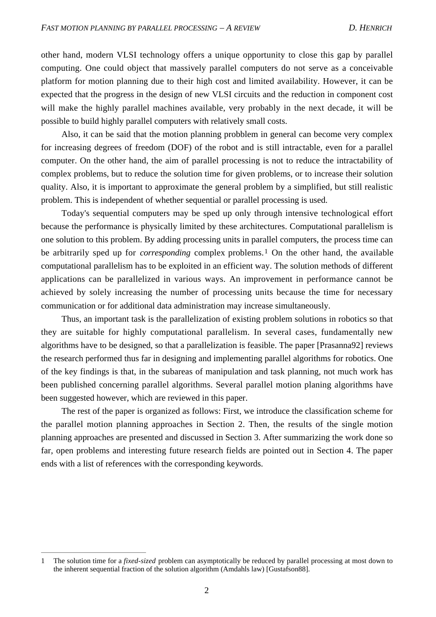other hand, modern VLSI technology offers a unique opportunity to close this gap by parallel computing. One could object that massively parallel computers do not serve as a conceivable platform for motion planning due to their high cost and limited availability. However, it can be expected that the progress in the design of new VLSI circuits and the reduction in component cost will make the highly parallel machines available, very probably in the next decade, it will be possible to build highly parallel computers with relatively small costs.

Also, it can be said that the motion planning probblem in general can become very complex for increasing degrees of freedom (DOF) of the robot and is still intractable, even for a parallel computer. On the other hand, the aim of parallel processing is not to reduce the intractability of complex problems, but to reduce the solution time for given problems, or to increase their solution quality. Also, it is important to approximate the general problem by a simplified, but still realistic problem. This is independent of whether sequential or parallel processing is used.

Today's sequential computers may be sped up only through intensive technological effort because the performance is physically limited by these architectures. Computational parallelism is one solution to this problem. By adding processing units in parallel computers, the process time can be arbitrarily sped up for *corresponding* complex problems.<sup>1</sup> On the other hand, the available computational parallelism has to be exploited in an efficient way. The solution methods of different applications can be parallelized in various ways. An improvement in performance cannot be achieved by solely increasing the number of processing units because the time for necessary communication or for additional data administration may increase simultaneously.

Thus, an important task is the parallelization of existing problem solutions in robotics so that they are suitable for highly computational parallelism. In several cases, fundamentally new algorithms have to be designed, so that a parallelization is feasible. The paper [Prasanna92] reviews the research performed thus far in designing and implementing parallel algorithms for robotics. One of the key findings is that, in the subareas of manipulation and task planning, not much work has been published concerning parallel algorithms. Several parallel motion planing algorithms have been suggested however, which are reviewed in this paper.

The rest of the paper is organized as follows: First, we introduce the classification scheme for the parallel motion planning approaches in Section 2. Then, the results of the single motion planning approaches are presented and discussed in Section 3. After summarizing the work done so far, open problems and interesting future research fields are pointed out in Section 4. The paper ends with a list of references with the corresponding keywords.

<sup>1</sup> The solution time for a *fixed-sized* problem can asymptotically be reduced by parallel processing at most down to the inherent sequential fraction of the solution algorithm (Amdahls law) [Gustafson88].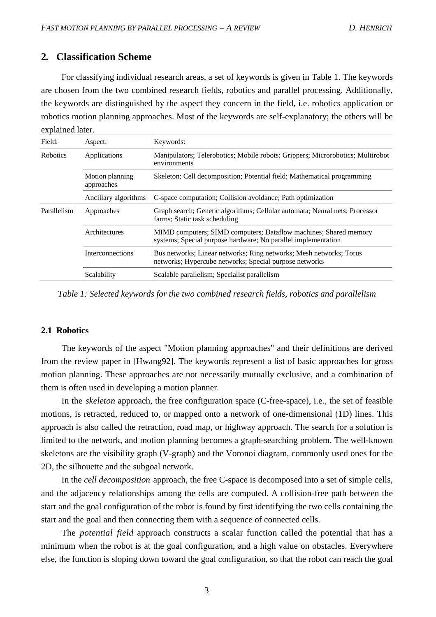## **2. Classification Scheme**

For classifying individual research areas, a set of keywords is given in Table 1. The keywords are chosen from the two combined research fields, robotics and parallel processing. Additionally, the keywords are distinguished by the aspect they concern in the field, i.e. robotics application or robotics motion planning approaches. Most of the keywords are self-explanatory; the others will be explained later.

| Field:      | Aspect:                       | Keywords:                                                                                                                         |  |  |  |
|-------------|-------------------------------|-----------------------------------------------------------------------------------------------------------------------------------|--|--|--|
| Robotics    | Applications                  | Manipulators; Telerobotics; Mobile robots; Grippers; Microrobotics; Multirobot<br>environments                                    |  |  |  |
|             | Motion planning<br>approaches | Skeleton; Cell decomposition; Potential field; Mathematical programming                                                           |  |  |  |
|             | Ancillary algorithms          | C-space computation; Collision avoidance; Path optimization                                                                       |  |  |  |
| Parallelism | Approaches                    | Graph search; Genetic algorithms; Cellular automata; Neural nets; Processor<br>farms; Static task scheduling                      |  |  |  |
|             | Architectures                 | MIMD computers; SIMD computers; Dataflow machines; Shared memory<br>systems; Special purpose hardware; No parallel implementation |  |  |  |
|             | <b>Interconnections</b>       | Bus networks; Linear networks; Ring networks; Mesh networks; Torus<br>networks; Hypercube networks; Special purpose networks      |  |  |  |
|             | Scalability                   | Scalable parallelism; Specialist parallelism                                                                                      |  |  |  |

*Table 1: Selected keywords for the two combined research fields, robotics and parallelism*

#### **2.1 Robotics**

The keywords of the aspect "Motion planning approaches" and their definitions are derived from the review paper in [Hwang92]. The keywords represent a list of basic approaches for gross motion planning. These approaches are not necessarily mutually exclusive, and a combination of them is often used in developing a motion planner.

In the *skeleton* approach, the free configuration space (C-free-space), i.e., the set of feasible motions, is retracted, reduced to, or mapped onto a network of one-dimensional (1D) lines. This approach is also called the retraction, road map, or highway approach. The search for a solution is limited to the network, and motion planning becomes a graph-searching problem. The well-known skeletons are the visibility graph (V-graph) and the Voronoi diagram, commonly used ones for the 2D, the silhouette and the subgoal network.

In the *cell decomposition* approach, the free C-space is decomposed into a set of simple cells, and the adjacency relationships among the cells are computed. A collision-free path between the start and the goal configuration of the robot is found by first identifying the two cells containing the start and the goal and then connecting them with a sequence of connected cells.

The *potential field* approach constructs a scalar function called the potential that has a minimum when the robot is at the goal configuration, and a high value on obstacles. Everywhere else, the function is sloping down toward the goal configuration, so that the robot can reach the goal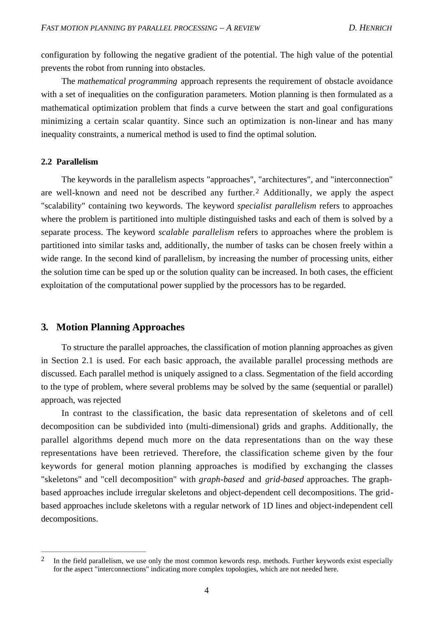configuration by following the negative gradient of the potential. The high value of the potential prevents the robot from running into obstacles.

The *mathematical programming* approach represents the requirement of obstacle avoidance with a set of inequalities on the configuration parameters. Motion planning is then formulated as a mathematical optimization problem that finds a curve between the start and goal configurations minimizing a certain scalar quantity. Since such an optimization is non-linear and has many inequality constraints, a numerical method is used to find the optimal solution.

#### **2.2 Parallelism**

The keywords in the parallelism aspects "approaches", "architectures", and "interconnection" are well-known and need not be described any further.2 Additionally, we apply the aspect "scalability" containing two keywords. The keyword *specialist parallelism* refers to approaches where the problem is partitioned into multiple distinguished tasks and each of them is solved by a separate process. The keyword *scalable parallelism* refers to approaches where the problem is partitioned into similar tasks and, additionally, the number of tasks can be chosen freely within a wide range. In the second kind of parallelism, by increasing the number of processing units, either the solution time can be sped up or the solution quality can be increased. In both cases, the efficient exploitation of the computational power supplied by the processors has to be regarded.

## **3. Motion Planning Approaches**

To structure the parallel approaches, the classification of motion planning approaches as given in Section 2.1 is used. For each basic approach, the available parallel processing methods are discussed. Each parallel method is uniquely assigned to a class. Segmentation of the field according to the type of problem, where several problems may be solved by the same (sequential or parallel) approach, was rejected

In contrast to the classification, the basic data representation of skeletons and of cell decomposition can be subdivided into (multi-dimensional) grids and graphs. Additionally, the parallel algorithms depend much more on the data representations than on the way these representations have been retrieved. Therefore, the classification scheme given by the four keywords for general motion planning approaches is modified by exchanging the classes "skeletons" and "cell decomposition" with *graph-based* and *grid-based* approaches. The graphbased approaches include irregular skeletons and object-dependent cell decompositions. The gridbased approaches include skeletons with a regular network of 1D lines and object-independent cell decompositions.

 $2\;\;$  In the field parallelism, we use only the most common kewords resp. methods. Further keywords exist especially for the aspect "interconnections" indicating more complex topologies, which are not needed here.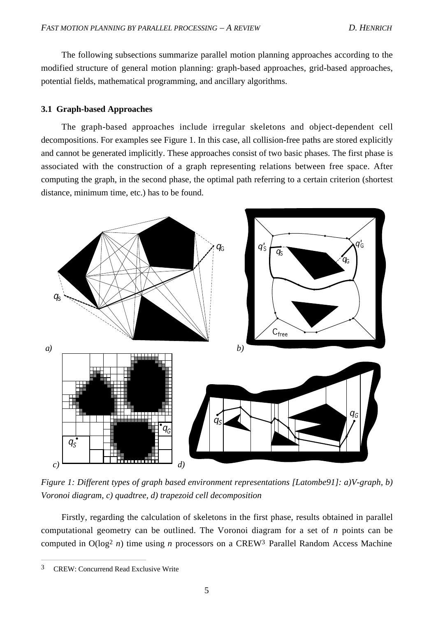The following subsections summarize parallel motion planning approaches according to the modified structure of general motion planning: graph-based approaches, grid-based approaches, potential fields, mathematical programming, and ancillary algorithms.

#### **3.1 Graph-based Approaches**

The graph-based approaches include irregular skeletons and object-dependent cell decompositions. For examples see Figure 1. In this case, all collision-free paths are stored explicitly and cannot be generated implicitly. These approaches consist of two basic phases. The first phase is associated with the construction of a graph representing relations between free space. After computing the graph, in the second phase, the optimal path referring to a certain criterion (shortest distance, minimum time, etc.) has to be found.



*Figure 1: Different types of graph based environment representations [Latombe91]: a)V-graph, b) Voronoi diagram, c) quadtree, d) trapezoid cell decomposition*

Firstly, regarding the calculation of skeletons in the first phase, results obtained in parallel computational geometry can be outlined. The Voronoi diagram for a set of *n* points can be computed in O(log2 *n*) time using *n* processors on a CREW3 Parallel Random Access Machine

<sup>3</sup> CREW: Concurrend Read Exclusive Write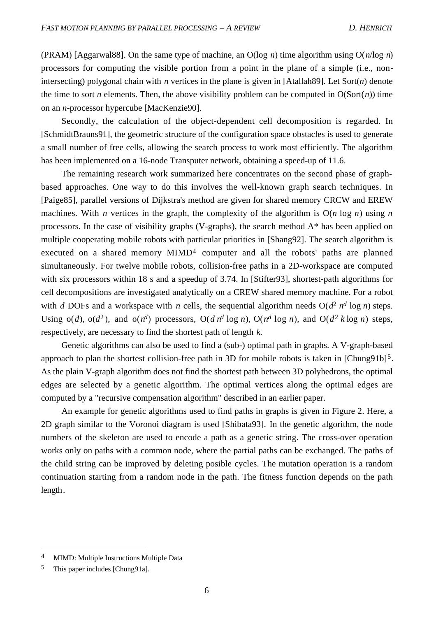(PRAM) [Aggarwal88]. On the same type of machine, an O(log *n*) time algorithm using O(*n*/log *n*) processors for computing the visible portion from a point in the plane of a simple (i.e., nonintersecting) polygonal chain with *n* vertices in the plane is given in [Atallah89]. Let Sort(*n*) denote the time to sort *n* elements. Then, the above visibility problem can be computed in  $O(Sort(n))$  time on an *n*-processor hypercube [MacKenzie90].

Secondly, the calculation of the object-dependent cell decomposition is regarded. In [SchmidtBrauns91], the geometric structure of the configuration space obstacles is used to generate a small number of free cells, allowing the search process to work most efficiently. The algorithm has been implemented on a 16-node Transputer network, obtaining a speed-up of 11.6.

The remaining research work summarized here concentrates on the second phase of graphbased approaches. One way to do this involves the well-known graph search techniques. In [Paige85], parallel versions of Dijkstra's method are given for shared memory CRCW and EREW machines. With *n* vertices in the graph, the complexity of the algorithm is  $O(n \log n)$  using *n* processors. In the case of visibility graphs (V-graphs), the search method A\* has been applied on multiple cooperating mobile robots with particular priorities in [Shang92]. The search algorithm is executed on a shared memory MIMD4 computer and all the robots' paths are planned simultaneously. For twelve mobile robots, collision-free paths in a 2D-workspace are computed with six processors within 18 s and a speedup of 3.74. In [Stifter93], shortest-path algorithms for cell decompositions are investigated analytically on a CREW shared memory machine. For a robot with *d* DOFs and a workspace with *n* cells, the sequential algorithm needs  $O(d^2 n^d \log n)$  steps. Using  $o(d)$ ,  $o(d^2)$ , and  $o(n^d)$  processors,  $O(d n^d \log n)$ ,  $O(n^d \log n)$ , and  $O(d^2 k \log n)$  steps, respectively, are necessary to find the shortest path of length *k*.

Genetic algorithms can also be used to find a (sub-) optimal path in graphs. A V-graph-based approach to plan the shortest collision-free path in 3D for mobile robots is taken in [Chung91b]<sup>5</sup>. As the plain V-graph algorithm does not find the shortest path between 3D polyhedrons, the optimal edges are selected by a genetic algorithm. The optimal vertices along the optimal edges are computed by a "recursive compensation algorithm" described in an earlier paper.

An example for genetic algorithms used to find paths in graphs is given in Figure 2. Here, a 2D graph similar to the Voronoi diagram is used [Shibata93]. In the genetic algorithm, the node numbers of the skeleton are used to encode a path as a genetic string. The cross-over operation works only on paths with a common node, where the partial paths can be exchanged. The paths of the child string can be improved by deleting posible cycles. The mutation operation is a random continuation starting from a random node in the path. The fitness function depends on the path length.

<sup>4</sup> MIMD: Multiple Instructions Multiple Data

<sup>5</sup> This paper includes [Chung91a].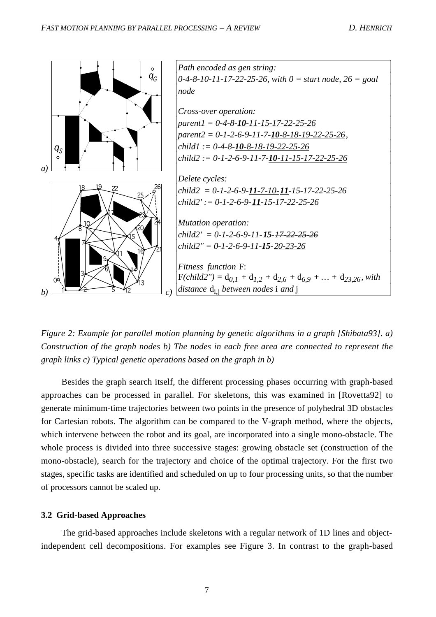

*Figure 2: Example for parallel motion planning by genetic algorithms in a graph [Shibata93]. a) Construction of the graph nodes b) The nodes in each free area are connected to represent the graph links c) Typical genetic operations based on the graph in b)*

Besides the graph search itself, the different processing phases occurring with graph-based approaches can be processed in parallel. For skeletons, this was examined in [Rovetta92] to generate minimum-time trajectories between two points in the presence of polyhedral 3D obstacles for Cartesian robots. The algorithm can be compared to the V-graph method, where the objects, which intervene between the robot and its goal, are incorporated into a single mono-obstacle. The whole process is divided into three successive stages: growing obstacle set (construction of the mono-obstacle), search for the trajectory and choice of the optimal trajectory. For the first two stages, specific tasks are identified and scheduled on up to four processing units, so that the number of processors cannot be scaled up.

#### **3.2 Grid-based Approaches**

The grid-based approaches include skeletons with a regular network of 1D lines and objectindependent cell decompositions. For examples see Figure 3. In contrast to the graph-based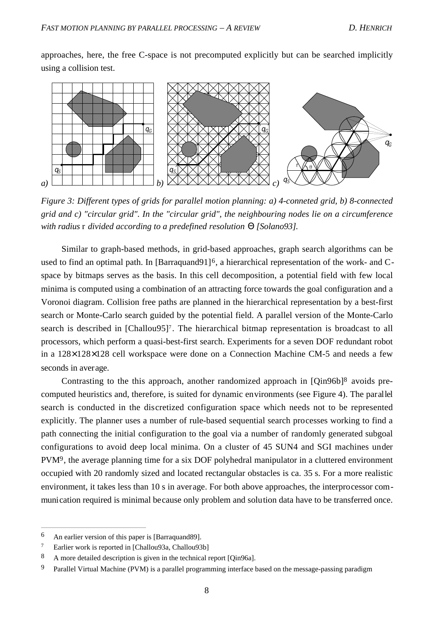approaches, here, the free C-space is not precomputed explicitly but can be searched implicitly using a collision test.



*Figure 3: Different types of grids for parallel motion planning: a) 4-conneted grid, b) 8-connected grid and c) "circular grid". In the "circular grid", the neighbouring nodes lie on a circumference with radius* r *divided according to a predefined resolution* Θ *[Solano93].*

Similar to graph-based methods, in grid-based approaches, graph search algorithms can be used to find an optimal path. In [Barraquand91]<sup>6</sup>, a hierarchical representation of the work- and Cspace by bitmaps serves as the basis. In this cell decomposition, a potential field with few local minima is computed using a combination of an attracting force towards the goal configuration and a Voronoi diagram. Collision free paths are planned in the hierarchical representation by a best-first search or Monte-Carlo search guided by the potential field. A parallel version of the Monte-Carlo search is described in [Challou95]<sup>7</sup>. The hierarchical bitmap representation is broadcast to all processors, which perform a quasi-best-first search. Experiments for a seven DOF redundant robot in a 128×128×128 cell workspace were done on a Connection Machine CM-5 and needs a few seconds in average.

Contrasting to the this approach, another randomized approach in [Qin96b]8 avoids precomputed heuristics and, therefore, is suited for dynamic environments (see Figure 4). The parallel search is conducted in the discretized configuration space which needs not to be represented explicitly. The planner uses a number of rule-based sequential search processes working to find a path connecting the initial configuration to the goal via a number of randomly generated subgoal configurations to avoid deep local minima. On a cluster of 45 SUN4 and SGI machines under PVM9, the average planning time for a six DOF polyhedral manipulator in a cluttered environment occupied with 20 randomly sized and located rectangular obstacles is ca. 35 s. For a more realistic environment, it takes less than 10 s in average. For both above approaches, the interprocessor communication required is minimal because only problem and solution data have to be transferred once.

<sup>6</sup> An earlier version of this paper is [Barraquand89].

<sup>7</sup> Earlier work is reported in [Challou93a, Challou93b]

<sup>8</sup> A more detailed description is given in the technical report [Qin96a].

<sup>9</sup> Parallel Virtual Machine (PVM) is a parallel programming interface based on the message-passing paradigm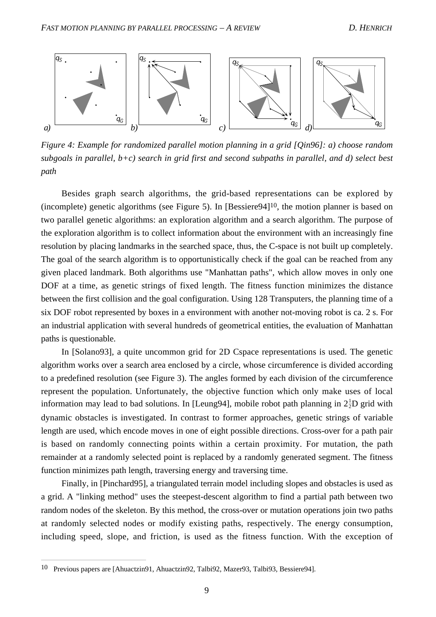

*Figure 4: Example for randomized parallel motion planning in a grid [Qin96]: a) choose random subgoals in parallel, b+c) search in grid first and second subpaths in parallel, and d) select best path*

Besides graph search algorithms, the grid-based representations can be explored by (incomplete) genetic algorithms (see Figure 5). In [Bessiere94]10, the motion planner is based on two parallel genetic algorithms: an exploration algorithm and a search algorithm. The purpose of the exploration algorithm is to collect information about the environment with an increasingly fine resolution by placing landmarks in the searched space, thus, the C-space is not built up completely. The goal of the search algorithm is to opportunistically check if the goal can be reached from any given placed landmark. Both algorithms use "Manhattan paths", which allow moves in only one DOF at a time, as genetic strings of fixed length. The fitness function minimizes the distance between the first collision and the goal configuration. Using 128 Transputers, the planning time of a six DOF robot represented by boxes in a environment with another not-moving robot is ca. 2 s. For an industrial application with several hundreds of geometrical entities, the evaluation of Manhattan paths is questionable.

In [Solano93], a quite uncommon grid for 2D Cspace representations is used. The genetic algorithm works over a search area enclosed by a circle, whose circumference is divided according to a predefined resolution (see Figure 3). The angles formed by each division of the circumference represent the population. Unfortunately, the objective function which only make uses of local information may lead to bad solutions. In [Leung94], mobile robot path planning in  $2\frac{1}{2}D$  grid with dynamic obstacles is investigated. In contrast to former approaches, genetic strings of variable length are used, which encode moves in one of eight possible directions. Cross-over for a path pair is based on randomly connecting points within a certain proximity. For mutation, the path remainder at a randomly selected point is replaced by a randomly generated segment. The fitness function minimizes path length, traversing energy and traversing time.

Finally, in [Pinchard95], a triangulated terrain model including slopes and obstacles is used as a grid. A "linking method" uses the steepest-descent algorithm to find a partial path between two random nodes of the skeleton. By this method, the cross-over or mutation operations join two paths at randomly selected nodes or modify existing paths, respectively. The energy consumption, including speed, slope, and friction, is used as the fitness function. With the exception of

<sup>10</sup> Previous papers are [Ahuactzin91, Ahuactzin92, Talbi92, Mazer93, Talbi93, Bessiere94].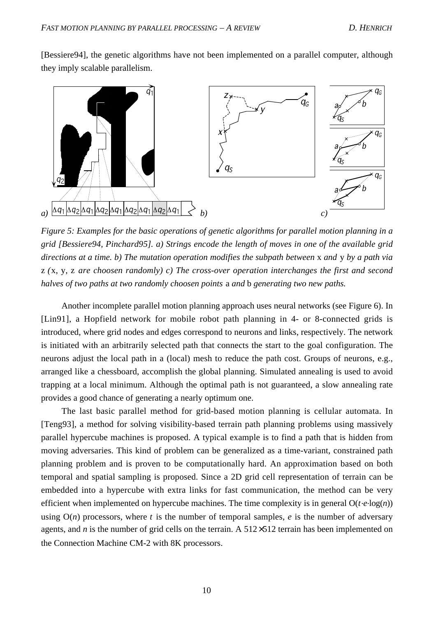[Bessiere94], the genetic algorithms have not been implemented on a parallel computer, although they imply scalable parallelism.



*Figure 5: Examples for the basic operations of genetic algorithms for parallel motion planning in a grid [Bessiere94, Pinchard95]. a) Strings encode the length of moves in one of the available grid directions at a time. b) The mutation operation modifies the subpath between* x *and* y *by a path via* z *(*x, y, z *are choosen randomly) c) The cross-over operation interchanges the first and second halves of two paths at two randomly choosen points* a *and* b *generating two new paths.*

Another incomplete parallel motion planning approach uses neural networks (see Figure 6). In [Lin91], a Hopfield network for mobile robot path planning in 4- or 8-connected grids is introduced, where grid nodes and edges correspond to neurons and links, respectively. The network is initiated with an arbitrarily selected path that connects the start to the goal configuration. The neurons adjust the local path in a (local) mesh to reduce the path cost. Groups of neurons, e.g., arranged like a chessboard, accomplish the global planning. Simulated annealing is used to avoid trapping at a local minimum. Although the optimal path is not guaranteed, a slow annealing rate provides a good chance of generating a nearly optimum one.

The last basic parallel method for grid-based motion planning is cellular automata. In [Teng93], a method for solving visibility-based terrain path planning problems using massively parallel hypercube machines is proposed. A typical example is to find a path that is hidden from moving adversaries. This kind of problem can be generalized as a time-variant, constrained path planning problem and is proven to be computationally hard. An approximation based on both temporal and spatial sampling is proposed. Since a 2D grid cell representation of terrain can be embedded into a hypercube with extra links for fast communication, the method can be very efficient when implemented on hypercube machines. The time complexity is in general  $O(t \cdot e \cdot log(n))$ using  $O(n)$  processors, where *t* is the number of temporal samples, *e* is the number of adversary agents, and *n* is the number of grid cells on the terrain. A 512×512 terrain has been implemented on the Connection Machine CM-2 with 8K processors.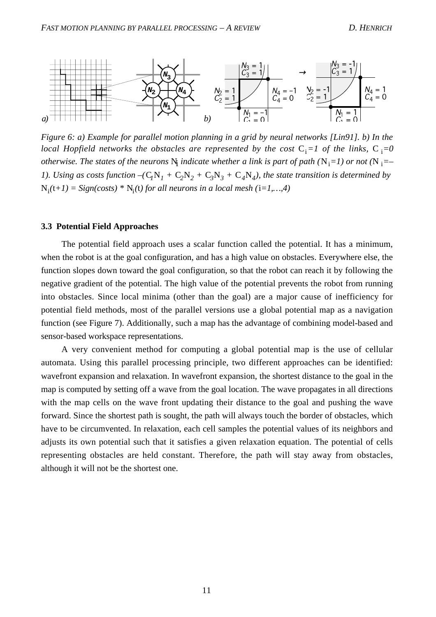

*Figure 6: a) Example for parallel motion planning in a grid by neural networks [Lin91]. b) In the local Hopfield networks the obstacles are represented by the cost*  $C_i = 1$  *of the links,*  $C_i = 0$ *otherwise. The states of the neurons*  $N_i$  *indicate whether a link is part of path* ( $N_i$ =1) *or not* ( $N_i$ =– *1*). Using as costs function  $-(C_1N_1 + C_2N_2 + C_3N_3 + C_4N_4)$ , the state transition is determined by  $N_i(t+1) = Sign(costs) * N_i(t)$  for all neurons in a local mesh (i=1,...,4)

#### **3.3 Potential Field Approaches**

The potential field approach uses a scalar function called the potential. It has a minimum, when the robot is at the goal configuration, and has a high value on obstacles. Everywhere else, the function slopes down toward the goal configuration, so that the robot can reach it by following the negative gradient of the potential. The high value of the potential prevents the robot from running into obstacles. Since local minima (other than the goal) are a major cause of inefficiency for potential field methods, most of the parallel versions use a global potential map as a navigation function (see Figure 7). Additionally, such a map has the advantage of combining model-based and sensor-based workspace representations.

A very convenient method for computing a global potential map is the use of cellular automata. Using this parallel processing principle, two different approaches can be identified: wavefront expansion and relaxation. In wavefront expansion, the shortest distance to the goal in the map is computed by setting off a wave from the goal location. The wave propagates in all directions with the map cells on the wave front updating their distance to the goal and pushing the wave forward. Since the shortest path is sought, the path will always touch the border of obstacles, which have to be circumvented. In relaxation, each cell samples the potential values of its neighbors and adjusts its own potential such that it satisfies a given relaxation equation. The potential of cells representing obstacles are held constant. Therefore, the path will stay away from obstacles, although it will not be the shortest one.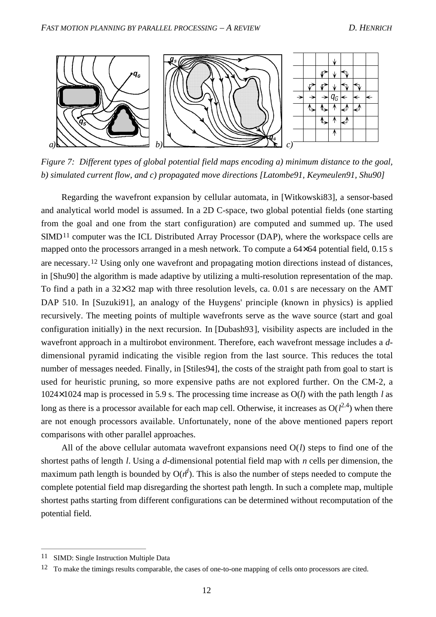

*Figure 7: Different types of global potential field maps encoding a) minimum distance to the goal, b) simulated current flow, and c) propagated move directions [Latombe91, Keymeulen91, Shu90]*

Regarding the wavefront expansion by cellular automata, in [Witkowski83], a sensor-based and analytical world model is assumed. In a 2D C-space, two global potential fields (one starting from the goal and one from the start configuration) are computed and summed up. The used  $SIMD<sup>11</sup>$  computer was the ICL Distributed Array Processor (DAP), where the workspace cells are mapped onto the processors arranged in a mesh network. To compute a 64×64 potential field, 0.15 s are necessary.12 Using only one wavefront and propagating motion directions instead of distances, in [Shu90] the algorithm is made adaptive by utilizing a multi-resolution representation of the map. To find a path in a  $32\times32$  map with three resolution levels, ca. 0.01 s are necessary on the AMT DAP 510. In [Suzuki91], an analogy of the Huygens' principle (known in physics) is applied recursively. The meeting points of multiple wavefronts serve as the wave source (start and goal configuration initially) in the next recursion. In [Dubash93], visibility aspects are included in the wavefront approach in a multirobot environment. Therefore, each wavefront message includes a *d*dimensional pyramid indicating the visible region from the last source. This reduces the total number of messages needed. Finally, in [Stiles94], the costs of the straight path from goal to start is used for heuristic pruning, so more expensive paths are not explored further. On the CM-2, a 1024×1024 map is processed in 5.9 s. The processing time increase as O(*l*) with the path length *l* as long as there is a processor available for each map cell. Otherwise, it increases as  $O(l^{2.4})$  when there are not enough processors available. Unfortunately, none of the above mentioned papers report comparisons with other parallel approaches.

All of the above cellular automata wavefront expansions need O(*l*) steps to find one of the shortest paths of length *l*. Using a *d*-dimensional potential field map with *n* cells per dimension, the maximum path length is bounded by  $O(n^d)$ . This is also the number of steps needed to compute the complete potential field map disregarding the shortest path length. In such a complete map, multiple shortest paths starting from different configurations can be determined without recomputation of the potential field.

<sup>11</sup> SIMD: Single Instruction Multiple Data

<sup>&</sup>lt;sup>12</sup> To make the timings results comparable, the cases of one-to-one mapping of cells onto processors are cited.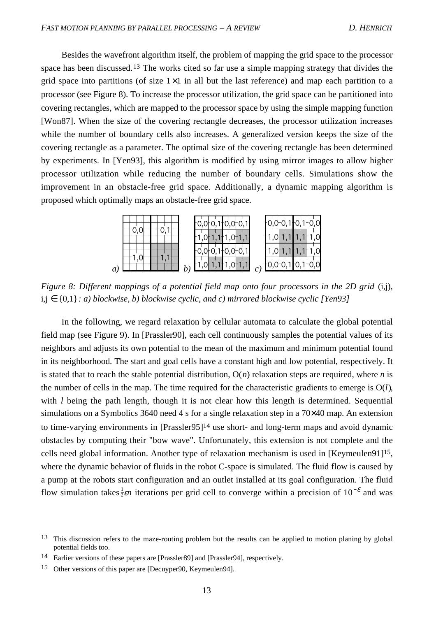Besides the wavefront algorithm itself, the problem of mapping the grid space to the processor space has been discussed.13 The works cited so far use a simple mapping strategy that divides the grid space into partitions (of size  $1\times1$  in all but the last reference) and map each partition to a processor (see Figure 8). To increase the processor utilization, the grid space can be partitioned into covering rectangles, which are mapped to the processor space by using the simple mapping function [Won87]. When the size of the covering rectangle decreases, the processor utilization increases while the number of boundary cells also increases. A generalized version keeps the size of the covering rectangle as a parameter. The optimal size of the covering rectangle has been determined by experiments. In [Yen93], this algorithm is modified by using mirror images to allow higher processor utilization while reducing the number of boundary cells. Simulations show the improvement in an obstacle-free grid space. Additionally, a dynamic mapping algorithm is proposed which optimally maps an obstacle-free grid space.

|         |  | $\cdot$ 0,0 $\cdot$ 0,1 $\cdot$ 0,0 $\cdot$ 0,1<br>$1,0$ $\uparrow$ $1,1$ $\uparrow$ $1,0$ $\uparrow$ $1,1$ | 10.010.110.110.01<br>$1$ O + $1$ 1 $+$ 1 $+$ 1 $+$ |                                                         |
|---------|--|-------------------------------------------------------------------------------------------------------------|----------------------------------------------------|---------------------------------------------------------|
| $\it a$ |  | 0,0 0,1 0,0 0,1                                                                                             |                                                    | $1 \; 1$<br>$0.1$ [0,1 <sup><math>\pm</math></sup> 0,0] |

*Figure 8: Different mappings of a potential field map onto four processors in the 2D grid (i,j),* i,j ∈  ${0,1}$ : *a)* blockwise, *b)* blockwise cyclic, and *c)* mirrored blockwise cyclic [Yen93]

In the following, we regard relaxation by cellular automata to calculate the global potential field map (see Figure 9). In [Prassler90], each cell continuously samples the potential values of its neighbors and adjusts its own potential to the mean of the maximum and minimum potential found in its neighborhood. The start and goal cells have a constant high and low potential, respectively. It is stated that to reach the stable potential distribution, O(*n*) relaxation steps are required, where *n* is the number of cells in the map. The time required for the characteristic gradients to emerge is O(*l*), with *l* being the path length, though it is not clear how this length is determined. Sequential simulations on a Symbolics 3640 need 4 s for a single relaxation step in a 70×40 map. An extension to time-varying environments in [Prassler95]14 use short- and long-term maps and avoid dynamic obstacles by computing their "bow wave". Unfortunately, this extension is not complete and the cells need global information. Another type of relaxation mechanism is used in [Keymeulen91]15, where the dynamic behavior of fluids in the robot C-space is simulated. The fluid flow is caused by a pump at the robots start configuration and an outlet installed at its goal configuration. The fluid flow simulation takes  $\frac{1}{2}$ *en* iterations per grid cell to converge within a precision of 10<sup>-*ε*</sup> and was

<sup>&</sup>lt;sup>13</sup> This discussion refers to the maze-routing problem but the results can be applied to motion planing by global potential fields too.

<sup>14</sup> Earlier versions of these papers are [Prassler89] and [Prassler94], respectively.

<sup>15</sup> Other versions of this paper are [Decuyper90, Keymeulen94].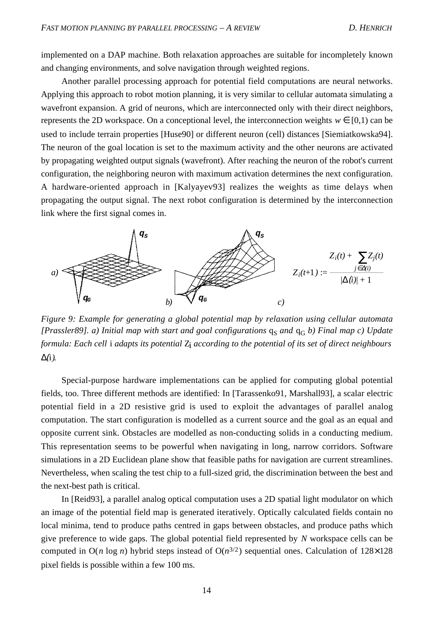implemented on a DAP machine. Both relaxation approaches are suitable for incompletely known and changing environments, and solve navigation through weighted regions.

Another parallel processing approach for potential field computations are neural networks. Applying this approach to robot motion planning, it is very similar to cellular automata simulating a wavefront expansion. A grid of neurons, which are interconnected only with their direct neighbors, represents the 2D workspace. On a conceptional level, the interconnection weights  $w \in [0,1)$  can be used to include terrain properties [Huse90] or different neuron (cell) distances [Siemiatkowska94]. The neuron of the goal location is set to the maximum activity and the other neurons are activated by propagating weighted output signals (wavefront). After reaching the neuron of the robot's current configuration, the neighboring neuron with maximum activation determines the next configuration. A hardware-oriented approach in [Kalyayev93] realizes the weights as time delays when propagating the output signal. The next robot configuration is determined by the interconnection link where the first signal comes in.



*Figure 9: Example for generating a global potential map by relaxation using cellular automata [Prassler89]. a) Initial map with start and goal configurations*  $q_S$  *and*  $q_G$  *b) Final map c) Update formula: Each cell* i *adapts its potential* Zi *according to the potential of its set of direct neighbours* ∆(i*).*

Special-purpose hardware implementations can be applied for computing global potential fields, too. Three different methods are identified: In [Tarassenko91, Marshall93], a scalar electric potential field in a 2D resistive grid is used to exploit the advantages of parallel analog computation. The start configuration is modelled as a current source and the goal as an equal and opposite current sink. Obstacles are modelled as non-conducting solids in a conducting medium. This representation seems to be powerful when navigating in long, narrow corridors. Software simulations in a 2D Euclidean plane show that feasible paths for navigation are current streamlines. Nevertheless, when scaling the test chip to a full-sized grid, the discrimination between the best and the next-best path is critical.

In [Reid93], a parallel analog optical computation uses a 2D spatial light modulator on which an image of the potential field map is generated iteratively. Optically calculated fields contain no local minima, tend to produce paths centred in gaps between obstacles, and produce paths which give preference to wide gaps. The global potential field represented by *N* workspace cells can be computed in  $O(n \log n)$  hybrid steps instead of  $O(n^{3/2})$  sequential ones. Calculation of  $128 \times 128$ pixel fields is possible within a few 100 ms.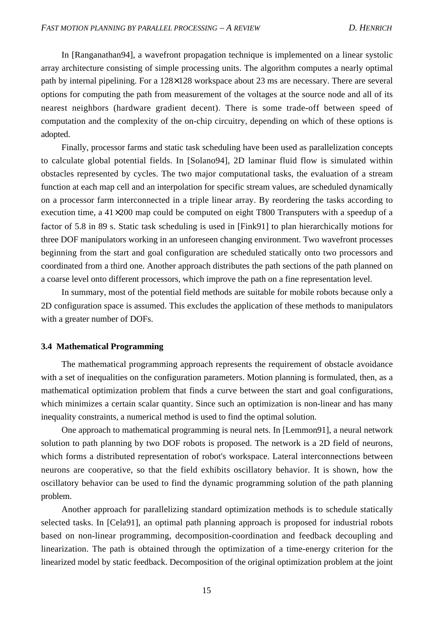In [Ranganathan94], a wavefront propagation technique is implemented on a linear systolic array architecture consisting of simple processing units. The algorithm computes a nearly optimal path by internal pipelining. For a 128×128 workspace about 23 ms are necessary. There are several options for computing the path from measurement of the voltages at the source node and all of its nearest neighbors (hardware gradient decent). There is some trade-off between speed of computation and the complexity of the on-chip circuitry, depending on which of these options is adopted.

Finally, processor farms and static task scheduling have been used as parallelization concepts to calculate global potential fields. In [Solano94], 2D laminar fluid flow is simulated within obstacles represented by cycles. The two major computational tasks, the evaluation of a stream function at each map cell and an interpolation for specific stream values, are scheduled dynamically on a processor farm interconnected in a triple linear array. By reordering the tasks according to execution time, a 41×200 map could be computed on eight T800 Transputers with a speedup of a factor of 5.8 in 89 s. Static task scheduling is used in [Fink91] to plan hierarchically motions for three DOF manipulators working in an unforeseen changing environment. Two wavefront processes beginning from the start and goal configuration are scheduled statically onto two processors and coordinated from a third one. Another approach distributes the path sections of the path planned on a coarse level onto different processors, which improve the path on a fine representation level.

In summary, most of the potential field methods are suitable for mobile robots because only a 2D configuration space is assumed. This excludes the application of these methods to manipulators with a greater number of DOFs.

#### **3.4 Mathematical Programming**

The mathematical programming approach represents the requirement of obstacle avoidance with a set of inequalities on the configuration parameters. Motion planning is formulated, then, as a mathematical optimization problem that finds a curve between the start and goal configurations, which minimizes a certain scalar quantity. Since such an optimization is non-linear and has many inequality constraints, a numerical method is used to find the optimal solution.

One approach to mathematical programming is neural nets. In [Lemmon91], a neural network solution to path planning by two DOF robots is proposed. The network is a 2D field of neurons, which forms a distributed representation of robot's workspace. Lateral interconnections between neurons are cooperative, so that the field exhibits oscillatory behavior. It is shown, how the oscillatory behavior can be used to find the dynamic programming solution of the path planning problem.

Another approach for parallelizing standard optimization methods is to schedule statically selected tasks. In [Cela91], an optimal path planning approach is proposed for industrial robots based on non-linear programming, decomposition-coordination and feedback decoupling and linearization. The path is obtained through the optimization of a time-energy criterion for the linearized model by static feedback. Decomposition of the original optimization problem at the joint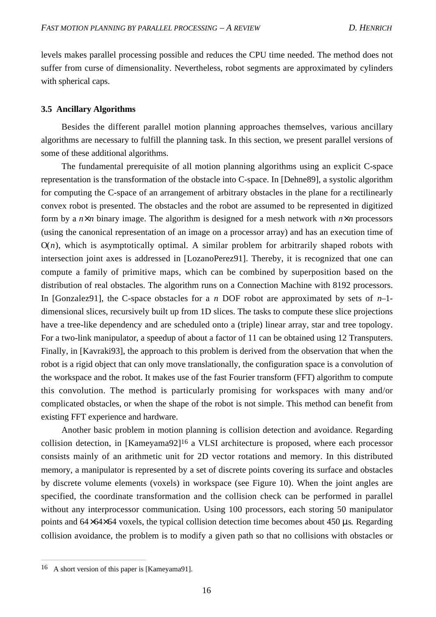levels makes parallel processing possible and reduces the CPU time needed. The method does not suffer from curse of dimensionality. Nevertheless, robot segments are approximated by cylinders with spherical caps.

#### **3.5 Ancillary Algorithms**

Besides the different parallel motion planning approaches themselves, various ancillary algorithms are necessary to fulfill the planning task. In this section, we present parallel versions of some of these additional algorithms.

The fundamental prerequisite of all motion planning algorithms using an explicit C-space representation is the transformation of the obstacle into C-space. In [Dehne89], a systolic algorithm for computing the C-space of an arrangement of arbitrary obstacles in the plane for a rectilinearly convex robot is presented. The obstacles and the robot are assumed to be represented in digitized form by a *n*×*n* binary image. The algorithm is designed for a mesh network with *n*×*n* processors (using the canonical representation of an image on a processor array) and has an execution time of  $O(n)$ , which is asymptotically optimal. A similar problem for arbitrarily shaped robots with intersection joint axes is addressed in [LozanoPerez91]. Thereby, it is recognized that one can compute a family of primitive maps, which can be combined by superposition based on the distribution of real obstacles. The algorithm runs on a Connection Machine with 8192 processors. In [Gonzalez91], the C-space obstacles for a *n* DOF robot are approximated by sets of *n*–1 dimensional slices, recursively built up from 1D slices. The tasks to compute these slice projections have a tree-like dependency and are scheduled onto a (triple) linear array, star and tree topology. For a two-link manipulator, a speedup of about a factor of 11 can be obtained using 12 Transputers. Finally, in [Kavraki93], the approach to this problem is derived from the observation that when the robot is a rigid object that can only move translationally, the configuration space is a convolution of the workspace and the robot. It makes use of the fast Fourier transform (FFT) algorithm to compute this convolution. The method is particularly promising for workspaces with many and/or complicated obstacles, or when the shape of the robot is not simple. This method can benefit from existing FFT experience and hardware.

Another basic problem in motion planning is collision detection and avoidance. Regarding collision detection, in [Kameyama92]16 a VLSI architecture is proposed, where each processor consists mainly of an arithmetic unit for 2D vector rotations and memory. In this distributed memory, a manipulator is represented by a set of discrete points covering its surface and obstacles by discrete volume elements (voxels) in workspace (see Figure 10). When the joint angles are specified, the coordinate transformation and the collision check can be performed in parallel without any interprocessor communication. Using 100 processors, each storing 50 manipulator points and  $64\times64\times64$  voxels, the typical collision detection time becomes about  $450 \,\mu$ s. Regarding collision avoidance, the problem is to modify a given path so that no collisions with obstacles or

<sup>16</sup> A short version of this paper is [Kameyama91].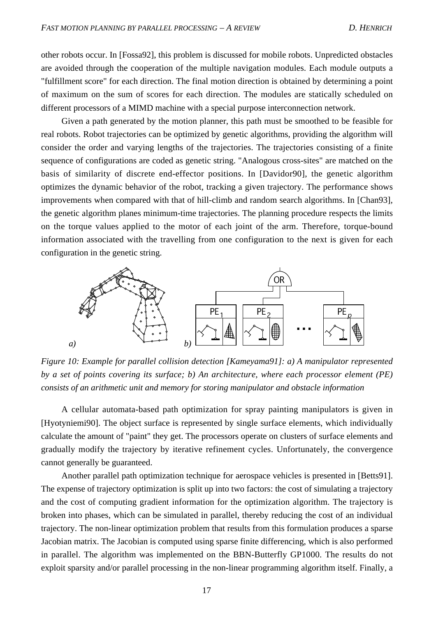other robots occur. In [Fossa92], this problem is discussed for mobile robots. Unpredicted obstacles are avoided through the cooperation of the multiple navigation modules. Each module outputs a "fulfillment score" for each direction. The final motion direction is obtained by determining a point of maximum on the sum of scores for each direction. The modules are statically scheduled on different processors of a MIMD machine with a special purpose interconnection network.

Given a path generated by the motion planner, this path must be smoothed to be feasible for real robots. Robot trajectories can be optimized by genetic algorithms, providing the algorithm will consider the order and varying lengths of the trajectories. The trajectories consisting of a finite sequence of configurations are coded as genetic string. "Analogous cross-sites" are matched on the basis of similarity of discrete end-effector positions. In [Davidor90], the genetic algorithm optimizes the dynamic behavior of the robot, tracking a given trajectory. The performance shows improvements when compared with that of hill-climb and random search algorithms. In [Chan93], the genetic algorithm planes minimum-time trajectories. The planning procedure respects the limits on the torque values applied to the motor of each joint of the arm. Therefore, torque-bound information associated with the travelling from one configuration to the next is given for each configuration in the genetic string.



*Figure 10: Example for parallel collision detection [Kameyama91]: a) A manipulator represented by a set of points covering its surface; b) An architecture, where each processor element (PE) consists of an arithmetic unit and memory for storing manipulator and obstacle information*

A cellular automata-based path optimization for spray painting manipulators is given in [Hyotyniemi90]. The object surface is represented by single surface elements, which individually calculate the amount of "paint" they get. The processors operate on clusters of surface elements and gradually modify the trajectory by iterative refinement cycles. Unfortunately, the convergence cannot generally be guaranteed.

Another parallel path optimization technique for aerospace vehicles is presented in [Betts91]. The expense of trajectory optimization is split up into two factors: the cost of simulating a trajectory and the cost of computing gradient information for the optimization algorithm. The trajectory is broken into phases, which can be simulated in parallel, thereby reducing the cost of an individual trajectory. The non-linear optimization problem that results from this formulation produces a sparse Jacobian matrix. The Jacobian is computed using sparse finite differencing, which is also performed in parallel. The algorithm was implemented on the BBN-Butterfly GP1000. The results do not exploit sparsity and/or parallel processing in the non-linear programming algorithm itself. Finally, a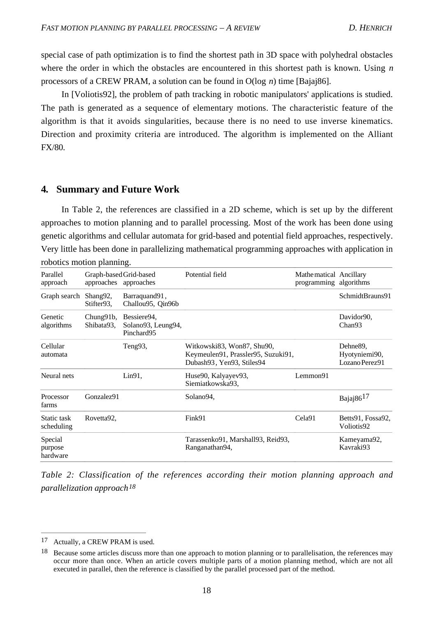special case of path optimization is to find the shortest path in 3D space with polyhedral obstacles where the order in which the obstacles are encountered in this shortest path is known. Using *n* processors of a CREW PRAM, a solution can be found in O(log *n*) time [Bajaj86].

In [Voliotis92], the problem of path tracking in robotic manipulators' applications is studied. The path is generated as a sequence of elementary motions. The characteristic feature of the algorithm is that it avoids singularities, because there is no need to use inverse kinematics. Direction and proximity criteria are introduced. The algorithm is implemented on the Alliant FX/80.

## **4. Summary and Future Work**

In Table 2, the references are classified in a 2D scheme, which is set up by the different approaches to motion planning and to parallel processing. Most of the work has been done using genetic algorithms and cellular automata for grid-based and potential field approaches, respectively. Very little has been done in parallelizing mathematical programming approaches with application in robotics motion planning.

| Parallel<br>approach           |                            | Graph-based Grid-based<br>approaches approaches | Potential field                                                                               | Mathematical Ancillary<br>programming algorithms |                                             |
|--------------------------------|----------------------------|-------------------------------------------------|-----------------------------------------------------------------------------------------------|--------------------------------------------------|---------------------------------------------|
| Graph search Shang92,          | Stifter93.                 | Barraquand91,<br>Challou95, Qin96b              |                                                                                               |                                                  | SchmidtBrauns91                             |
| Genetic<br>algorithms          | $Chung91b$ ,<br>Shibata93. | Bessiere94,<br>Solano93, Leung94,<br>Pinchard95 |                                                                                               |                                                  | Davidor90,<br>Chan93                        |
| Cellular<br>automata           |                            | Teng <sub>93</sub> ,                            | Witkowski83, Won87, Shu90,<br>Keymeulen91, Prassler95, Suzuki91,<br>Dubash93, Yen93, Stiles94 |                                                  | Dehne89,<br>Hyotyniemi90,<br>Lozano Perez91 |
| Neural nets                    |                            | Lin91,                                          | Huse90, Kalyayev93,<br>Siemiatkowska93,                                                       | Lemmon91                                         |                                             |
| Processor<br>farms             | Gonzalez91                 |                                                 | Solano94,                                                                                     |                                                  | Bajaj86 <sup>17</sup>                       |
| Static task<br>scheduling      | Rovetta <sub>92</sub> ,    |                                                 | Fink91                                                                                        | Cela91                                           | Betts91, Fossa92,<br>Voliotis92             |
| Special<br>purpose<br>hardware |                            |                                                 | Tarassenko91, Marshall93, Reid93,<br>Ranganathan94,                                           |                                                  | Kameyama92,<br>Kavraki93                    |

|                                        |  | Table 2: Classification of the references according their motion planning approach and |  |  |  |  |  |  |  |  |
|----------------------------------------|--|----------------------------------------------------------------------------------------|--|--|--|--|--|--|--|--|
| parallelization approach <sup>18</sup> |  |                                                                                        |  |  |  |  |  |  |  |  |

<sup>17</sup> Actually, a CREW PRAM is used.

<sup>&</sup>lt;sup>18</sup> Because some articles discuss more than one approach to motion planning or to parallelisation, the references may occur more than once. When an article covers multiple parts of a motion planning method, which are not all executed in parallel, then the reference is classified by the parallel processed part of the method.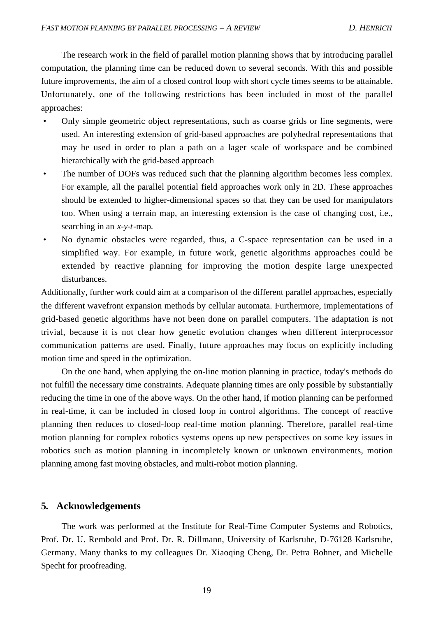The research work in the field of parallel motion planning shows that by introducing parallel computation, the planning time can be reduced down to several seconds. With this and possible future improvements, the aim of a closed control loop with short cycle times seems to be attainable. Unfortunately, one of the following restrictions has been included in most of the parallel approaches:

- Only simple geometric object representations, such as coarse grids or line segments, were used. An interesting extension of grid-based approaches are polyhedral representations that may be used in order to plan a path on a lager scale of workspace and be combined hierarchically with the grid-based approach
- The number of DOFs was reduced such that the planning algorithm becomes less complex. For example, all the parallel potential field approaches work only in 2D. These approaches should be extended to higher-dimensional spaces so that they can be used for manipulators too. When using a terrain map, an interesting extension is the case of changing cost, i.e., searching in an *x-y-t*-map.
- No dynamic obstacles were regarded, thus, a C-space representation can be used in a simplified way. For example, in future work, genetic algorithms approaches could be extended by reactive planning for improving the motion despite large unexpected disturbances.

Additionally, further work could aim at a comparison of the different parallel approaches, especially the different wavefront expansion methods by cellular automata. Furthermore, implementations of grid-based genetic algorithms have not been done on parallel computers. The adaptation is not trivial, because it is not clear how genetic evolution changes when different interprocessor communication patterns are used. Finally, future approaches may focus on explicitly including motion time and speed in the optimization.

On the one hand, when applying the on-line motion planning in practice, today's methods do not fulfill the necessary time constraints. Adequate planning times are only possible by substantially reducing the time in one of the above ways. On the other hand, if motion planning can be performed in real-time, it can be included in closed loop in control algorithms. The concept of reactive planning then reduces to closed-loop real-time motion planning. Therefore, parallel real-time motion planning for complex robotics systems opens up new perspectives on some key issues in robotics such as motion planning in incompletely known or unknown environments, motion planning among fast moving obstacles, and multi-robot motion planning.

## **5. Acknowledgements**

The work was performed at the Institute for Real-Time Computer Systems and Robotics, Prof. Dr. U. Rembold and Prof. Dr. R. Dillmann, University of Karlsruhe, D-76128 Karlsruhe, Germany. Many thanks to my colleagues Dr. Xiaoqing Cheng, Dr. Petra Bohner, and Michelle Specht for proofreading.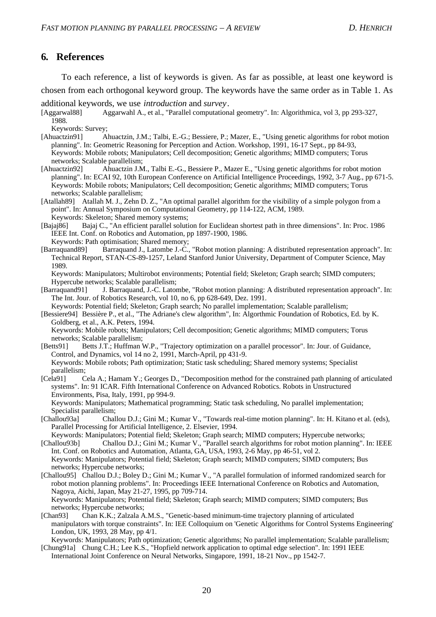## **6. References**

To each reference, a list of keywords is given. As far as possible, at least one keyword is chosen from each orthogonal keyword group. The keywords have the same order as in Table 1. As additional keywords, we use *introduction* and *survey*.

- [Aggarwal88] Aggarwahl A., et al., "Parallel computational geometry". In: Algorithmica, vol 3, pp 293-327, 1988.
- Keywords: Survey;
- [Ahuactzin91] Ahuactzin, J.M.; Talbi, E.-G.; Bessiere, P.; Mazer, E., "Using genetic algorithms for robot motion planning". In: Geometric Reasoning for Perception and Action. Workshop, 1991, 16-17 Sept., pp 84-93, Keywords: Mobile robots; Manipulators; Cell decomposition; Genetic algorithms; MIMD computers; Torus networks; Scalable parallelism;<br>[Ahuactzin92] Ahuactzin J.M
- Ahuactzin J.M., Talbi E.-G., Bessiere P., Mazer E., "Using genetic algorithms for robot motion planning". In: ECAI 92, 10th European Conference on Artificial Intelligence Proceedings, 1992, 3-7 Aug., pp 671-5. Keywords: Mobile robots; Manipulators; Cell decomposition; Genetic algorithms; MIMD computers; Torus networks; Scalable parallelism;
- [Atallah89] Atallah M. J., Zehn D. Z., "An optimal parallel algorithm for the visibility of a simple polygon from a point". In: Annual Symposium on Computational Geometry, pp 114-122, ACM, 1989. Keywords: Skeleton; Shared memory systems;
- [Bajaj86] Bajaj C., "An efficient parallel solution for Euclidean shortest path in three dimensions". In: Proc. 1986 IEEE Int. Conf. on Robotics and Automation, pp 1897-1900, 1986. Keywords: Path optimisation; Shared memory;
- [Barraquand89] Barraquand J., Latombe J.-C., "Robot motion planning: A distributed representation approach". In: Technical Report, STAN-CS-89-1257, Leland Stanford Junior University, Department of Computer Science, May 1989.

Keywords: Manipulators; Multirobot environments; Potential field; Skeleton; Graph search; SIMD computers; Hypercube networks; Scalable parallelism;

[Barraquand91] J. Barraquand, J.-C. Latombe, "Robot motion planning: A distributed representation approach". In: The Int. Jour. of Robotics Research, vol 10, no 6, pp 628-649, Dez. 1991.

Keywords: Potential field; Skeleton; Graph search; No parallel implementation; Scalable parallelism; [Bessiere94] Bessière P., et al., "The Adriane's clew algorithm", In: Algorthmic Foundation of Robotics, Ed. by K. Goldberg, et al., A.K. Peters, 1994. Keywords: Mobile robots; Manipulators; Cell decomposition; Genetic algorithms; MIMD computers; Torus

networks; Scalable parallelism; [Betts91] Betts J.T.; Huffman W.P., "Trajectory optimization on a parallel processor". In: Jour. of Guidance, Control, and Dynamics, vol 14 no 2, 1991, March-April, pp 431-9.

- Keywords: Mobile robots; Path optimization; Static task scheduling; Shared memory systems; Specialist parallelism;
- [Cela91] Cela A.; Hamam Y.; Georges D., "Decomposition method for the constrained path planning of articulated systems". In: 91 ICAR. Fifth International Conference on Advanced Robotics. Robots in Unstructured Environments, Pisa, Italy, 1991, pp 994-9.

Keywords: Manipulators; Mathematical programming; Static task scheduling, No parallel implementation; Specialist parallelism;

- [Challou93a] Challou D.J.; Gini M.; Kumar V., "Towards real-time motion planning". In: H. Kitano et al. (eds), Parallel Processing for Artificial Intelligence, 2. Elsevier, 1994.
- Keywords: Manipulators; Potential field; Skeleton; Graph search; MIMD computers; Hypercube networks; [Challou93b] Challou D.J.; Gini M.; Kumar V., "Parallel search algorithms for robot motion planning". In: IEEE Int. Conf. on Robotics and Automation, Atlanta, GA, USA, 1993, 2-6 May, pp 46-51, vol 2. Keywords: Manipulators; Potential field; Skeleton; Graph search; MIMD computers; SIMD computers; Bus networks; Hypercube networks;
- [Challou95] Challou D.J.; Boley D.; Gini M.; Kumar V., "A parallel formulation of informed randomized search for robot motion planning problems". In: Proceedings IEEE International Conference on Robotics and Automation, Nagoya, Aichi, Japan, May 21-27, 1995, pp 709-714.

Keywords: Manipulators; Potential field; Skeleton; Graph search; MIMD computers; SIMD computers; Bus networks; Hypercube networks;

- [Chan93] Chan K.K.; Zalzala A.M.S., "Genetic-based minimum-time trajectory planning of articulated manipulators with torque constraints". In: IEE Colloquium on 'Genetic Algorithms for Control Systems Engineering' London, UK, 1993, 28 May, pp 4/1.
- Keywords: Manipulators; Path optimization; Genetic algorithms; No parallel implementation; Scalable parallelism; [Chung91a] Chung C.H.; Lee K.S., "Hopfield network application to optimal edge selection". In: 1991 IEEE International Joint Conference on Neural Networks, Singapore, 1991, 18-21 Nov., pp 1542-7.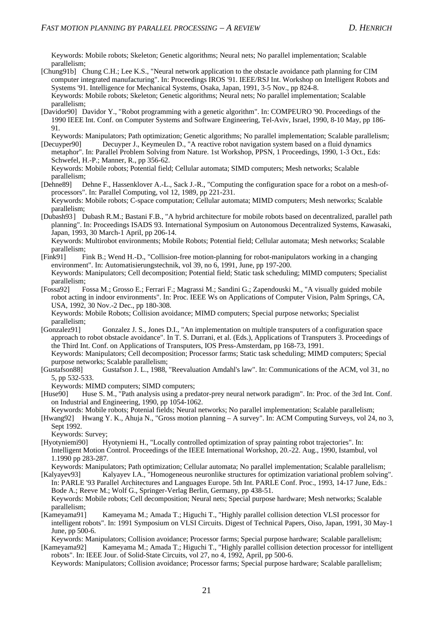Keywords: Mobile robots; Skeleton; Genetic algorithms; Neural nets; No parallel implementation; Scalable parallelism;

- [Chung91b] Chung C.H.; Lee K.S., "Neural network application to the obstacle avoidance path planning for CIM computer integrated manufacturing". In: Proceedings IROS '91. IEEE/RSJ Int. Workshop on Intelligent Robots and Systems '91. Intelligence for Mechanical Systems, Osaka, Japan, 1991, 3-5 Nov., pp 824-8. Keywords: Mobile robots; Skeleton; Genetic algorithms; Neural nets; No parallel implementation; Scalable parallelism;
- [Davidor90] Davidor Y., "Robot programming with a genetic algorithm". In: COMPEURO '90. Proceedings of the 1990 IEEE Int. Conf. on Computer Systems and Software Engineering, Tel-Aviv, Israel, 1990, 8-10 May, pp 186- 91.

Keywords: Manipulators; Path optimization; Genetic algorithms; No parallel implementation; Scalable parallelism; [Decuyper90] Decuyper J., Keymeulen D., "A reactive robot navigation system based on a fluid dynamics

metaphor". In: Parallel Problem Solving from Nature. 1st Workshop, PPSN, 1 Proceedings, 1990, 1-3 Oct., Eds: Schwefel, H.-P.; Manner, R., pp 356-62.

Keywords: Mobile robots; Potential field; Cellular automata; SIMD computers; Mesh networks; Scalable parallelism;

- [Dehne89] Dehne F., Hassenklover A.-L., Sack J.-R., "Computing the configuration space for a robot on a mesh-ofprocessors". In: Parallel Computing, vol 12, 1989, pp 221-231. Keywords: Mobile robots; C-space computation; Cellular automata; MIMD computers; Mesh networks; Scalable parallelism;
- [Dubash93] Dubash R.M.; Bastani F.B., "A hybrid architecture for mobile robots based on decentralized, parallel path planning". In: Proceedings ISADS 93. International Symposium on Autonomous Decentralized Systems, Kawasaki, Japan, 1993, 30 March-1 April, pp 206-14.

Keywords: Multirobot environments; Mobile Robots; Potential field; Cellular automata; Mesh networks; Scalable parallelism;

- [Fink91] Fink B.; Wend H.-D., "Collision-free motion-planning for robot-manipulators working in a changing environment". In: Automatisierungstechnik, vol 39, no 6, 1991, June, pp 197-200. Keywords: Manipulators; Cell decomposition; Potential field; Static task scheduling; MIMD computers; Specialist parallelism;
- [Fossa92] Fossa M.; Grosso E.; Ferrari F.; Magrassi M.; Sandini G.; Zapendouski M., "A visually guided mobile robot acting in indoor environments". In: Proc. IEEE Ws on Applications of Computer Vision, Palm Springs, CA, USA, 1992, 30 Nov.-2 Dec., pp 180-308.

Keywords: Mobile Robots; Collision avoidance; MIMD computers; Special purpose networks; Specialist parallelism;

- [Gonzalez91] Gonzalez J. S., Jones D.I., "An implementation on multiple transputers of a configuration space approach to robot obstacle avoidance". In T. S. Durrani, et al. (Eds.), Applications of Transputers 3. Proceedings of the Third Int. Conf. on Applications of Transputers, IOS Press-Amsterdam, pp 168-73, 1991. Keywords: Manipulators; Cell decomposition; Processor farms; Static task scheduling; MIMD computers; Special purpose networks; Scalable parallelism;
- [Gustafson88] Gustafson J. L., 1988, "Reevaluation Amdahl's law". In: Communications of the ACM, vol 31, no 5, pp 532-533.

Keywords: MIMD computers; SIMD computers;

- [Huse90] Huse S. M., "Path analysis using a predator-prey neural network paradigm". In: Proc. of the 3rd Int. Conf. on Industrial and Engineering, 1990, pp 1054-1062.
- Keywords: Mobile robots; Potenial fields; Neural networks; No parallel implementation; Scalable parallelism;
- [Hwang92] Hwang Y. K., Ahuja N., "Gross motion planning A survey". In: ACM Computing Surveys, vol 24, no 3, Sept 1992.

Keywords: Survey;

[Hyotyniemi90] Hyotyniemi H., "Locally controlled optimization of spray painting robot trajectories". In: Intelligent Motion Control. Proceedings of the IEEE International Workshop, 20.-22. Aug., 1990, Istambul, vol 1.1990 pp 283-287.

Keywords: Manipulators; Path optimization; Cellular automata; No parallel implementation; Scalable parallelism; [Kalyayev93] Kalyayev I.A., "Homogeneous neuronlike structures for optimization variational problem solving".

In: PARLE '93 Parallel Architectures and Languages Europe. 5th Int. PARLE Conf. Proc., 1993, 14-17 June, Eds.: Bode A.; Reeve M.; Wolf G., Springer-Verlag Berlin, Germany, pp 438-51. Keywords: Mobile robots; Cell decomposition; Neural nets; Special purpose hardware; Mesh networks; Scalable

parallelism; [Kameyama91] Kameyama M.; Amada T.; Higuchi T., "Highly parallel collision detection VLSI processor for intelligent robots". In: 1991 Symposium on VLSI Circuits. Digest of Technical Papers, Oiso, Japan, 1991, 30 May-1 June, pp 500-6.

Keywords: Manipulators; Collision avoidance; Processor farms; Special purpose hardware; Scalable parallelism; [Kameyama92] Kameyama M.; Amada T.; Higuchi T., "Highly parallel collision detection processor for intelligent

robots". In: IEEE Jour. of Solid-State Circuits, vol 27, no 4, 1992, April, pp 500-6. Keywords: Manipulators; Collision avoidance; Processor farms; Special purpose hardware; Scalable parallelism;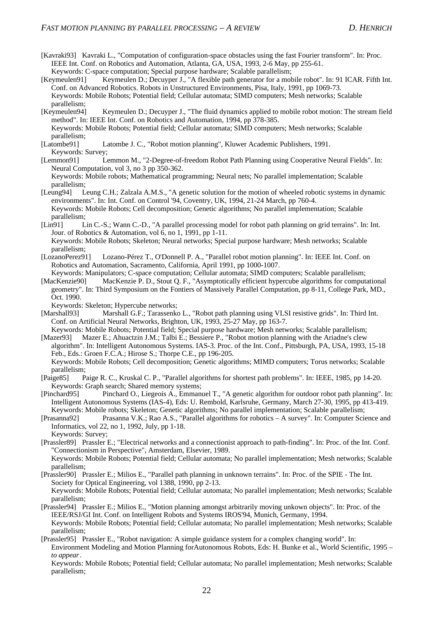- [Kavraki93] Kavraki L., "Computation of configuration-space obstacles using the fast Fourier transform". In: Proc. IEEE Int. Conf. on Robotics and Automation, Atlanta, GA, USA, 1993, 2-6 May, pp 255-61. Keywords: C-space computation; Special purpose hardware; Scalable parallelism;
- [Keymeulen91] Keymeulen D.; Decuyper J., "A flexible path generator for a mobile robot". In: 91 ICAR. Fifth Int. Conf. on Advanced Robotics. Robots in Unstructured Environments, Pisa, Italy, 1991, pp 1069-73. Keywords: Mobile Robots; Potential field; Cellular automata; SIMD computers; Mesh networks; Scalable parallelism;<br>[Keymeulen94]
- Keymeulen D.; Decuyper J., "The fluid dynamics applied to mobile robot motion: The stream field method". In: IEEE Int. Conf. on Robotics and Automation, 1994, pp 378-385. Keywords: Mobile Robots; Potential field; Cellular automata; SIMD computers; Mesh networks; Scalable parallelism;<br>[Latombe91]
- Latombe J. C., "Robot motion planning", Kluwer Academic Publishers, 1991.
- Keywords: Survey;<br>[Lemmon91] Le Lemmon M., "2-Degree-of-freedom Robot Path Planning using Cooperative Neural Fields". In: Neural Computation, vol 3, no 3 pp 350-362.

Keywords: Mobile robots; Mathematical programming; Neural nets; No parallel implementation; Scalable parallelism;

- [Leung94] Leung C.H.; Zalzala A.M.S., "A genetic solution for the motion of wheeled robotic systems in dynamic environments". In: Int. Conf. on Control '94, Coventry, UK, 1994, 21-24 March, pp 760-4. Keywords: Mobile Robots; Cell decomposition; Genetic algorithms; No parallel implementation; Scalable parallelism;
- [Lin91] Lin C.-S.; Wann C.-D., "A parallel processing model for robot path planning on grid terrains". In: Int. Jour. of Robotics & Automation, vol 6, no 1, 1991, pp 1-11. Keywords: Mobile Robots; Skeleton; Neural networks; Special purpose hardware; Mesh networks; Scalable parallelism;
- [LozanoPerez91] Lozano-Pérez T., O'Donnell P. A., "Parallel robot motion planning". In: IEEE Int. Conf. on Robotics and Automation, Sacramento, California, April 1991, pp 1000-1007.
- Keywords: Manipulators; C-space computation; Cellular automata; SIMD computers; Scalable parallelism; [MacKenzie90] MacKenzie P. D., Stout Q. F., "Asymptotically efficient hypercube algorithms for computational geometry". In: Third Symposium on the Fontiers of Massively Parallel Computation, pp 8-11, College Park, MD., Oct. 1990.

Keywords: Skeleton; Hypercube networks;

[Marshall93] Marshall G.F.; Tarassenko L., "Robot path planning using VLSI resistive grids". In: Third Int. Conf. on Artificial Neural Networks, Brighton, UK, 1993, 25-27 May, pp 163-7.

Keywords: Mobile Robots; Potential field; Special purpose hardware; Mesh networks; Scalable parallelism; [Mazer93] Mazer E.; Ahuactzin J.M.; Talbi E.; Bessiere P., "Robot motion planning with the Ariadne's clew algorithm". In: Intelligent Autonomous Systems. IAS-3. Proc. of the Int. Conf., Pittsburgh, PA, USA, 1993, 15-18 Feb., Eds.: Groen F.C.A.; Hirose S.; Thorpe C.E., pp 196-205. Keywords: Mobile Robots; Cell decomposition; Genetic algorithms; MIMD computers; Torus networks; Scalable

- parallelism; [Paige85] Paige R. C., Kruskal C. P., "Parallel algorithms for shortest path problems". In: IEEE, 1985, pp 14-20. Keywords: Graph search; Shared memory systems;
- [Pinchard95] Pinchard O., Liegeois A., Emmanuel T., "A genetic algorithm for outdoor robot path planning". In: Intelligent Autonomous Systems (IAS-4), Eds: U. Rembold, Karlsruhe, Germany, March 27-30, 1995, pp 413-419. Keywords: Mobile robots; Skeleton; Genetic algorithms; No parallel implementation; Scalable parallelism;
- [Prasanna92] Prasanna V.K.; Rao A.S., "Parallel algorithms for robotics A survey". In: Computer Science and Informatics, vol 22, no 1, 1992, July, pp 1-18. Keywords: Survey;
- [Prassler89] Prassler E.; "Electrical networks and a connectionist approach to path-finding". In: Proc. of the Int. Conf. "Connectionism in Perspective", Amsterdam, Elsevier, 1989.

Keywords: Mobile Robots; Potential field; Cellular automata; No parallel implementation; Mesh networks; Scalable parallelism;

- [Prassler90] Prassler E.; Milios E., "Parallel path planning in unknown terrains". In: Proc. of the SPIE The Int. Society for Optical Engineering, vol 1388, 1990, pp 2-13. Keywords: Mobile Robots; Potential field; Cellular automata; No parallel implementation; Mesh networks; Scalable parallelism;
- [Prassler94] Prassler E.; Milios E., "Motion planning amongst arbitrarily moving unkown objects". In: Proc. of the IEEE/RSJ/GI Int. Conf. on Intelligent Robots and Systems IROS'94, Munich, Germany, 1994. Keywords: Mobile Robots; Potential field; Cellular automata; No parallel implementation; Mesh networks; Scalable parallelism;
- [Prassler95] Prassler E., "Robot navigation: A simple guidance system for a complex changing world". In: Environment Modeling and Motion Planning forAutonomous Robots, Eds: H. Bunke et al., World Scientific, 1995 – *to appear*.

Keywords: Mobile Robots; Potential field; Cellular automata; No parallel implementation; Mesh networks; Scalable parallelism;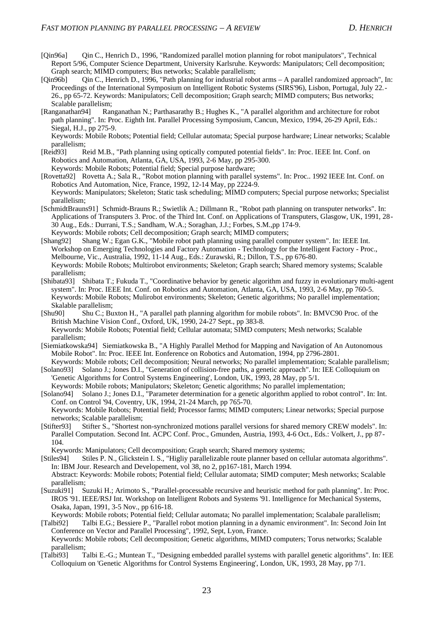- [Oin96a] Oin C., Henrich D., 1996, "Randomized parallel motion planning for robot manipulators", Technical Report 5/96, Computer Science Department, University Karlsruhe. Keywords: Manipulators; Cell decomposition; Graph search; MIMD computers; Bus networks; Scalable parallelism;
- [Qin96b] Qin C., Henrich D., 1996, "Path planning for industrial robot arms A parallel randomized approach", In: Proceedings of the International Symposium on Intelligent Robotic Systems (SIRS'96), Lisbon, Portugal, July 22.- 26., pp 65-72. Keywords: Manipulators; Cell decomposition; Graph search; MIMD computers; Bus networks; Scalable parallelism;
- [Ranganathan94] Ranganathan N.; Parthasarathy B.; Hughes K., "A parallel algorithm and architecture for robot path planning". In: Proc. Eighth Int. Parallel Processing Symposium, Cancun, Mexico, 1994, 26-29 April, Eds.: Siegal, H.J., pp 275-9.

Keywords: Mobile Robots; Potential field; Cellular automata; Special purpose hardware; Linear networks; Scalable parallelism;

- [Reid93] Reid M.B., "Path planning using optically computed potential fields". In: Proc. IEEE Int. Conf. on Robotics and Automation, Atlanta, GA, USA, 1993, 2-6 May, pp 295-300. Keywords: Mobile Robots; Potential field; Special purpose hardware;
- [Rovetta92] Rovetta A.; Sala R., "Robot motion planning with parallel systems". In: Proc.. 1992 IEEE Int. Conf. on Robotics And Automation, Nice, France, 1992, 12-14 May, pp 2224-9. Keywords: Manipulators; Skeleton; Static task scheduling; MIMD computers; Special purpose networks; Specialist parallelism;
- [SchmidtBrauns91] Schmidt-Brauns R.; Swietlik A.; Dillmann R., "Robot path planning on transputer networks". In: Applications of Transputers 3. Proc. of the Third Int. Conf. on Applications of Transputers, Glasgow, UK, 1991, 28- 30 Aug., Eds.: Durrani, T.S.; Sandham, W.A.; Soraghan, J.J.; Forbes, S.M.,pp 174-9. Keywords: Mobile robots; Cell decomposition; Graph search; MIMD computers;
- [Shang92] Shang W.; Egan G.K., "Mobile robot path planning using parallel computer system". In: IEEE Int. Workshop on Emerging Technologies and Factory Automation - Technology for the Intelligent Factory - Proc., Melbourne, Vic., Australia, 1992, 11-14 Aug., Eds.: Zurawski, R.; Dillon, T.S., pp 676-80. Keywords: Mobile Robots; Multirobot environments; Skeleton; Graph search; Shared memory systems; Scalable parallelism;
- [Shibata93] Shibata T.; Fukuda T., "Coordinative behavior by genetic algorithm and fuzzy in evolutionary multi-agent system". In: Proc. IEEE Int. Conf. on Robotics and Automation, Atlanta, GA, USA, 1993, 2-6 May, pp 760-5. Keywords: Mobile Robots; Mulirobot environments; Skeleton; Genetic algorithms; No parallel implementation; Skalable parallelism;<br>
Shu C.; Bu<br>
Shu C.; Bu
- Shu C.; Buxton H., "A parallel path planning algorithm for mobile robots". In: BMVC90 Proc. of the British Machine Vision Conf., Oxford, UK, 1990, 24-27 Sept., pp 383-8. Keywords: Mobile Robots; Potential field; Cellular automata; SIMD computers; Mesh networks; Scalable parallelism;
- [Siemiatkowska94] Siemiatkowska B., "A Highly Parallel Method for Mapping and Navigation of An Autonomous Mobile Robot". In: Proc. IEEE Int. Eonference on Robotics and Automation, 1994, pp 2796-2801.
- Keywords: Mobile robots; Cell decomposition; Neural networks; No parallel implementation; Scalable parallelism; [Solano93] Solano J.; Jones D.I., "Generation of collision-free paths, a genetic approach". In: IEE Colloquium on 'Genetic Algorithms for Control Systems Engineering', London, UK, 1993, 28 May, pp 5/1.

Keywords: Mobile robots; Manipulators; Skeleton; Genetic algorithms; No parallel implementation;

- [Solano94] Solano J.; Jones D.I., "Parameter determination for a genetic algorithm applied to robot control". In: Int. Conf. on Control '94, Coventry, UK, 1994, 21-24 March, pp 765-70. Keywords: Mobile Robots; Potential field; Processor farms; MIMD computers; Linear networks; Special purpose
- networks; Scalable parallelism; [Stifter93] Stifter S., "Shortest non-synchronized motions parallel versions for shared memory CREW models". In:
- Parallel Computation. Second Int. ACPC Conf. Proc., Gmunden, Austria, 1993, 4-6 Oct., Eds.: Volkert, J., pp 87- 104.

Keywords: Manipulators; Cell decomposition; Graph search; Shared memory systems;

- [Stiles94] Stiles P. N., Glickstein I. S., "Higliy parallelizable route planner based on cellular automata algorithms". In: IBM Jour. Research and Developement, vol 38, no 2, pp167-181, March 1994. Abstract: Keywords: Mobile robots; Potential field; Cellular automata; SIMD computer; Mesh networks; Scalable parallelism;
- [Suzuki91] Suzuki H.; Arimoto S., "Parallel-processable recursive and heuristic method for path planning". In: Proc. IROS '91. IEEE/RSJ Int. Workshop on Intelligent Robots and Systems '91. Intelligence for Mechanical Systems, Osaka, Japan, 1991, 3-5 Nov., pp 616-18.
- Keywords: Mobile robots; Potential field; Cellular automata; No parallel implementation; Scalabale parallelism; [Talbi92] Talbi E.G.; Bessiere P., "Parallel robot motion planning in a dynamic environment". In: Second Join Int
- Conference on Vector and Parallel Processing", 1992, Sept, Lyon, France. Keywords: Mobile robots; Cell decomposition; Genetic algorithms, MIMD computers; Torus networks; Scalable parallelism;
- [Talbi93] Talbi E.-G.; Muntean T., "Designing embedded parallel systems with parallel genetic algorithms". In: IEE Colloquium on 'Genetic Algorithms for Control Systems Engineering', London, UK, 1993, 28 May, pp 7/1.